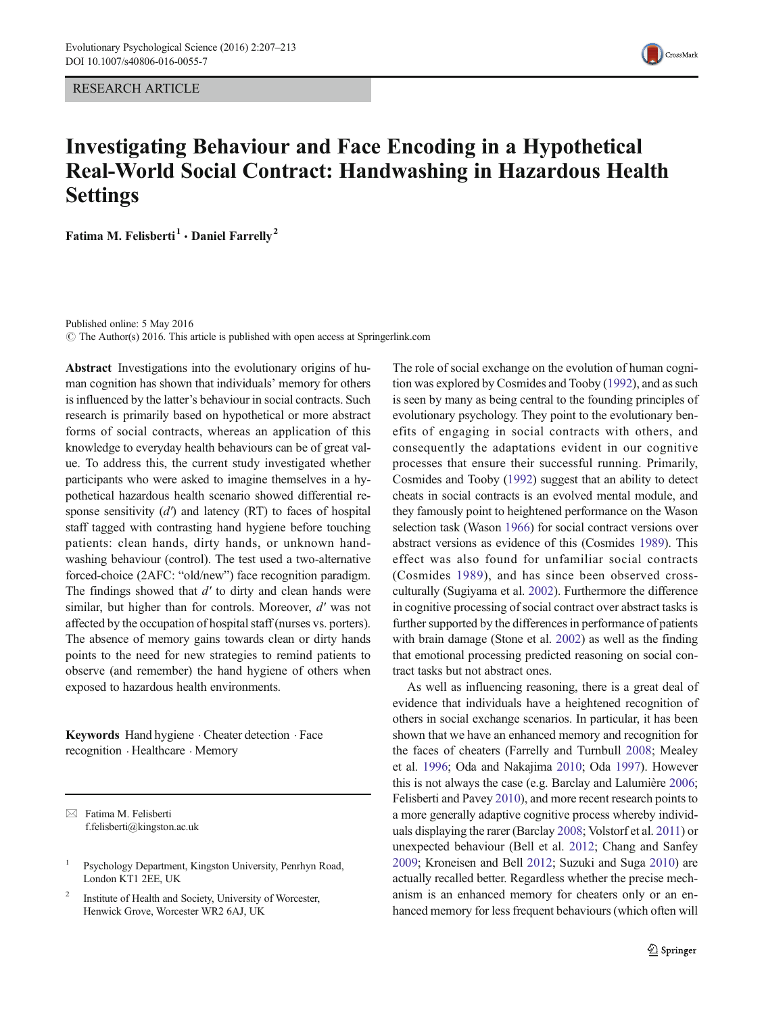RESEARCH ARTICLE



# Investigating Behaviour and Face Encoding in a Hypothetical Real-World Social Contract: Handwashing in Hazardous Health Settings

Fatima M. Felisberti<sup>1</sup>  $\cdot$  Daniel Farrelly<sup>2</sup>

Published online: 5 May 2016  $\odot$  The Author(s) 2016. This article is published with open access at Springerlink.com

Abstract Investigations into the evolutionary origins of human cognition has shown that individuals' memory for others is influenced by the latter's behaviour in social contracts. Such research is primarily based on hypothetical or more abstract forms of social contracts, whereas an application of this knowledge to everyday health behaviours can be of great value. To address this, the current study investigated whether participants who were asked to imagine themselves in a hypothetical hazardous health scenario showed differential response sensitivity  $(d')$  and latency  $(RT)$  to faces of hospital staff tagged with contrasting hand hygiene before touching patients: clean hands, dirty hands, or unknown handwashing behaviour (control). The test used a two-alternative forced-choice (2AFC: "old/new") face recognition paradigm. The findings showed that  $d'$  to dirty and clean hands were similar, but higher than for controls. Moreover, d' was not affected by the occupation of hospital staff (nurses vs. porters). The absence of memory gains towards clean or dirty hands points to the need for new strategies to remind patients to observe (and remember) the hand hygiene of others when exposed to hazardous health environments.

Keywords Hand hygiene . Cheater detection . Face recognition . Healthcare . Memory

 $\boxtimes$  Fatima M. Felisberti f.felisberti@kingston.ac.uk

The role of social exchange on the evolution of human cognition was explored by Cosmides and Tooby [\(1992](#page-6-0)), and as such is seen by many as being central to the founding principles of evolutionary psychology. They point to the evolutionary benefits of engaging in social contracts with others, and consequently the adaptations evident in our cognitive processes that ensure their successful running. Primarily, Cosmides and Tooby ([1992](#page-6-0)) suggest that an ability to detect cheats in social contracts is an evolved mental module, and they famously point to heightened performance on the Wason selection task (Wason [1966](#page-6-0)) for social contract versions over abstract versions as evidence of this (Cosmides [1989\)](#page-6-0). This effect was also found for unfamiliar social contracts (Cosmides [1989](#page-6-0)), and has since been observed crossculturally (Sugiyama et al. [2002\)](#page-6-0). Furthermore the difference in cognitive processing of social contract over abstract tasks is further supported by the differences in performance of patients with brain damage (Stone et al. [2002](#page-6-0)) as well as the finding that emotional processing predicted reasoning on social contract tasks but not abstract ones.

As well as influencing reasoning, there is a great deal of evidence that individuals have a heightened recognition of others in social exchange scenarios. In particular, it has been shown that we have an enhanced memory and recognition for the faces of cheaters (Farrelly and Turnbull [2008](#page-6-0); Mealey et al. [1996](#page-6-0); Oda and Nakajima [2010;](#page-6-0) Oda [1997](#page-6-0)). However this is not always the case (e.g. Barclay and Lalumière [2006;](#page-5-0) Felisberti and Pavey [2010\)](#page-6-0), and more recent research points to a more generally adaptive cognitive process whereby individuals displaying the rarer (Barclay [2008](#page-5-0); Volstorf et al. [2011](#page-6-0)) or unexpected behaviour (Bell et al. [2012;](#page-6-0) Chang and Sanfey [2009;](#page-6-0) Kroneisen and Bell [2012;](#page-6-0) Suzuki and Suga [2010](#page-6-0)) are actually recalled better. Regardless whether the precise mechanism is an enhanced memory for cheaters only or an enhanced memory for less frequent behaviours (which often will

<sup>1</sup> Psychology Department, Kingston University, Penrhyn Road, London KT1 2EE, UK

<sup>&</sup>lt;sup>2</sup> Institute of Health and Society, University of Worcester, Henwick Grove, Worcester WR2 6AJ, UK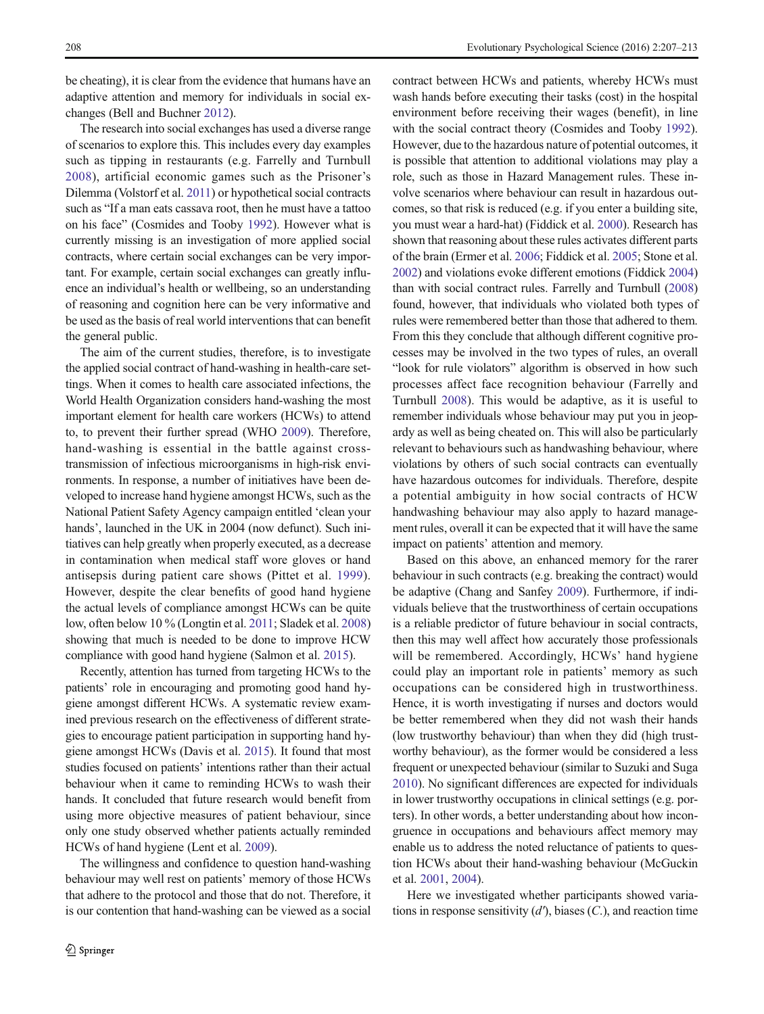be cheating), it is clear from the evidence that humans have an adaptive attention and memory for individuals in social exchanges (Bell and Buchner [2012\)](#page-6-0).

The research into social exchanges has used a diverse range of scenarios to explore this. This includes every day examples such as tipping in restaurants (e.g. Farrelly and Turnbull [2008\)](#page-6-0), artificial economic games such as the Prisoner's Dilemma (Volstorf et al. [2011\)](#page-6-0) or hypothetical social contracts such as "If a man eats cassava root, then he must have a tattoo on his face" (Cosmides and Tooby [1992\)](#page-6-0). However what is currently missing is an investigation of more applied social contracts, where certain social exchanges can be very important. For example, certain social exchanges can greatly influence an individual's health or wellbeing, so an understanding of reasoning and cognition here can be very informative and be used as the basis of real world interventions that can benefit the general public.

The aim of the current studies, therefore, is to investigate the applied social contract of hand-washing in health-care settings. When it comes to health care associated infections, the World Health Organization considers hand-washing the most important element for health care workers (HCWs) to attend to, to prevent their further spread (WHO [2009](#page-6-0)). Therefore, hand-washing is essential in the battle against crosstransmission of infectious microorganisms in high-risk environments. In response, a number of initiatives have been developed to increase hand hygiene amongst HCWs, such as the National Patient Safety Agency campaign entitled 'clean your hands', launched in the UK in 2004 (now defunct). Such initiatives can help greatly when properly executed, as a decrease in contamination when medical staff wore gloves or hand antisepsis during patient care shows (Pittet et al. [1999](#page-6-0)). However, despite the clear benefits of good hand hygiene the actual levels of compliance amongst HCWs can be quite low, often below 10 % (Longtin et al. [2011;](#page-6-0) Sladek et al. [2008\)](#page-6-0) showing that much is needed to be done to improve HCW compliance with good hand hygiene (Salmon et al. [2015\)](#page-6-0).

Recently, attention has turned from targeting HCWs to the patients' role in encouraging and promoting good hand hygiene amongst different HCWs. A systematic review examined previous research on the effectiveness of different strategies to encourage patient participation in supporting hand hygiene amongst HCWs (Davis et al. [2015](#page-6-0)). It found that most studies focused on patients' intentions rather than their actual behaviour when it came to reminding HCWs to wash their hands. It concluded that future research would benefit from using more objective measures of patient behaviour, since only one study observed whether patients actually reminded HCWs of hand hygiene (Lent et al. [2009\)](#page-6-0).

The willingness and confidence to question hand-washing behaviour may well rest on patients' memory of those HCWs that adhere to the protocol and those that do not. Therefore, it is our contention that hand-washing can be viewed as a social contract between HCWs and patients, whereby HCWs must wash hands before executing their tasks (cost) in the hospital environment before receiving their wages (benefit), in line with the social contract theory (Cosmides and Tooby [1992\)](#page-6-0). However, due to the hazardous nature of potential outcomes, it is possible that attention to additional violations may play a role, such as those in Hazard Management rules. These involve scenarios where behaviour can result in hazardous outcomes, so that risk is reduced (e.g. if you enter a building site, you must wear a hard-hat) (Fiddick et al. [2000\)](#page-6-0). Research has shown that reasoning about these rules activates different parts of the brain (Ermer et al. [2006;](#page-6-0) Fiddick et al. [2005](#page-6-0); Stone et al. [2002\)](#page-6-0) and violations evoke different emotions (Fiddick [2004](#page-6-0)) than with social contract rules. Farrelly and Turnbull [\(2008](#page-6-0)) found, however, that individuals who violated both types of rules were remembered better than those that adhered to them. From this they conclude that although different cognitive processes may be involved in the two types of rules, an overall "look for rule violators" algorithm is observed in how such processes affect face recognition behaviour (Farrelly and Turnbull [2008](#page-6-0)). This would be adaptive, as it is useful to remember individuals whose behaviour may put you in jeopardy as well as being cheated on. This will also be particularly relevant to behaviours such as handwashing behaviour, where violations by others of such social contracts can eventually have hazardous outcomes for individuals. Therefore, despite a potential ambiguity in how social contracts of HCW handwashing behaviour may also apply to hazard management rules, overall it can be expected that it will have the same impact on patients' attention and memory.

Based on this above, an enhanced memory for the rarer behaviour in such contracts (e.g. breaking the contract) would be adaptive (Chang and Sanfey [2009](#page-6-0)). Furthermore, if individuals believe that the trustworthiness of certain occupations is a reliable predictor of future behaviour in social contracts, then this may well affect how accurately those professionals will be remembered. Accordingly, HCWs' hand hygiene could play an important role in patients' memory as such occupations can be considered high in trustworthiness. Hence, it is worth investigating if nurses and doctors would be better remembered when they did not wash their hands (low trustworthy behaviour) than when they did (high trustworthy behaviour), as the former would be considered a less frequent or unexpected behaviour (similar to Suzuki and Suga [2010\)](#page-6-0). No significant differences are expected for individuals in lower trustworthy occupations in clinical settings (e.g. porters). In other words, a better understanding about how incongruence in occupations and behaviours affect memory may enable us to address the noted reluctance of patients to question HCWs about their hand-washing behaviour (McGuckin et al. [2001](#page-6-0), [2004\)](#page-6-0).

Here we investigated whether participants showed variations in response sensitivity  $(d')$ , biases  $(C)$ , and reaction time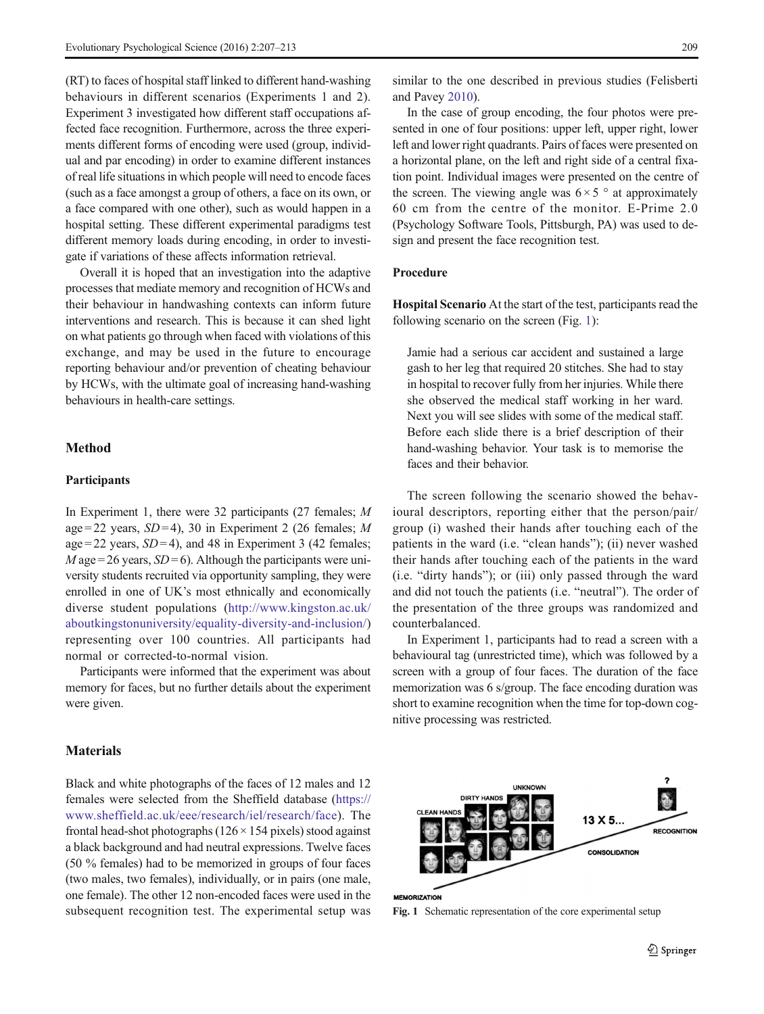(RT) to faces of hospital staff linked to different hand-washing behaviours in different scenarios (Experiments 1 and 2). Experiment 3 investigated how different staff occupations affected face recognition. Furthermore, across the three experiments different forms of encoding were used (group, individual and par encoding) in order to examine different instances of real life situations in which people will need to encode faces (such as a face amongst a group of others, a face on its own, or a face compared with one other), such as would happen in a hospital setting. These different experimental paradigms test different memory loads during encoding, in order to investigate if variations of these affects information retrieval.

Overall it is hoped that an investigation into the adaptive processes that mediate memory and recognition of HCWs and their behaviour in handwashing contexts can inform future interventions and research. This is because it can shed light on what patients go through when faced with violations of this exchange, and may be used in the future to encourage reporting behaviour and/or prevention of cheating behaviour by HCWs, with the ultimate goal of increasing hand-washing behaviours in health-care settings.

# Method

## Participants

In Experiment 1, there were 32 participants (27 females; M age = 22 years,  $SD=4$ ), 30 in Experiment 2 (26 females; M age = 22 years,  $SD = 4$ ), and 48 in Experiment 3 (42 females;  $M$  age = 26 years,  $SD = 6$ ). Although the participants were university students recruited via opportunity sampling, they were enrolled in one of UK's most ethnically and economically diverse student populations ([http://www.kingston.ac.uk/](http://www.kingston.ac.uk/aboutkingstonuniversity/equality-diversity-and-inclusion/) [aboutkingstonuniversity/equality-diversity-and-inclusion/\)](http://www.kingston.ac.uk/aboutkingstonuniversity/equality-diversity-and-inclusion/) representing over 100 countries. All participants had normal or corrected-to-normal vision.

Participants were informed that the experiment was about memory for faces, but no further details about the experiment were given.

## **Materials**

Black and white photographs of the faces of 12 males and 12 females were selected from the Sheffield database ([https://](https://www.sheffield.ac.uk/eee/research/iel/research/face) [www.sheffield.ac.uk/eee/research/iel/research/face\)](https://www.sheffield.ac.uk/eee/research/iel/research/face). The frontal head-shot photographs ( $126 \times 154$  pixels) stood against a black background and had neutral expressions. Twelve faces (50 % females) had to be memorized in groups of four faces (two males, two females), individually, or in pairs (one male, one female). The other 12 non-encoded faces were used in the subsequent recognition test. The experimental setup was

similar to the one described in previous studies (Felisberti and Pavey [2010\)](#page-6-0).

In the case of group encoding, the four photos were presented in one of four positions: upper left, upper right, lower left and lower right quadrants. Pairs of faces were presented on a horizontal plane, on the left and right side of a central fixation point. Individual images were presented on the centre of the screen. The viewing angle was  $6 \times 5$  ° at approximately 60 cm from the centre of the monitor. E-Prime 2.0 (Psychology Software Tools, Pittsburgh, PA) was used to design and present the face recognition test.

## Procedure

Hospital Scenario At the start of the test, participants read the following scenario on the screen (Fig. 1):

Jamie had a serious car accident and sustained a large gash to her leg that required 20 stitches. She had to stay in hospital to recover fully from her injuries. While there she observed the medical staff working in her ward. Next you will see slides with some of the medical staff. Before each slide there is a brief description of their hand-washing behavior. Your task is to memorise the faces and their behavior.

The screen following the scenario showed the behavioural descriptors, reporting either that the person/pair/ group (i) washed their hands after touching each of the patients in the ward (i.e. "clean hands"); (ii) never washed their hands after touching each of the patients in the ward (i.e. "dirty hands"); or (iii) only passed through the ward and did not touch the patients (i.e. "neutral"). The order of the presentation of the three groups was randomized and counterbalanced.

In Experiment 1, participants had to read a screen with a behavioural tag (unrestricted time), which was followed by a screen with a group of four faces. The duration of the face memorization was 6 s/group. The face encoding duration was short to examine recognition when the time for top-down cognitive processing was restricted.



Fig. 1 Schematic representation of the core experimental setup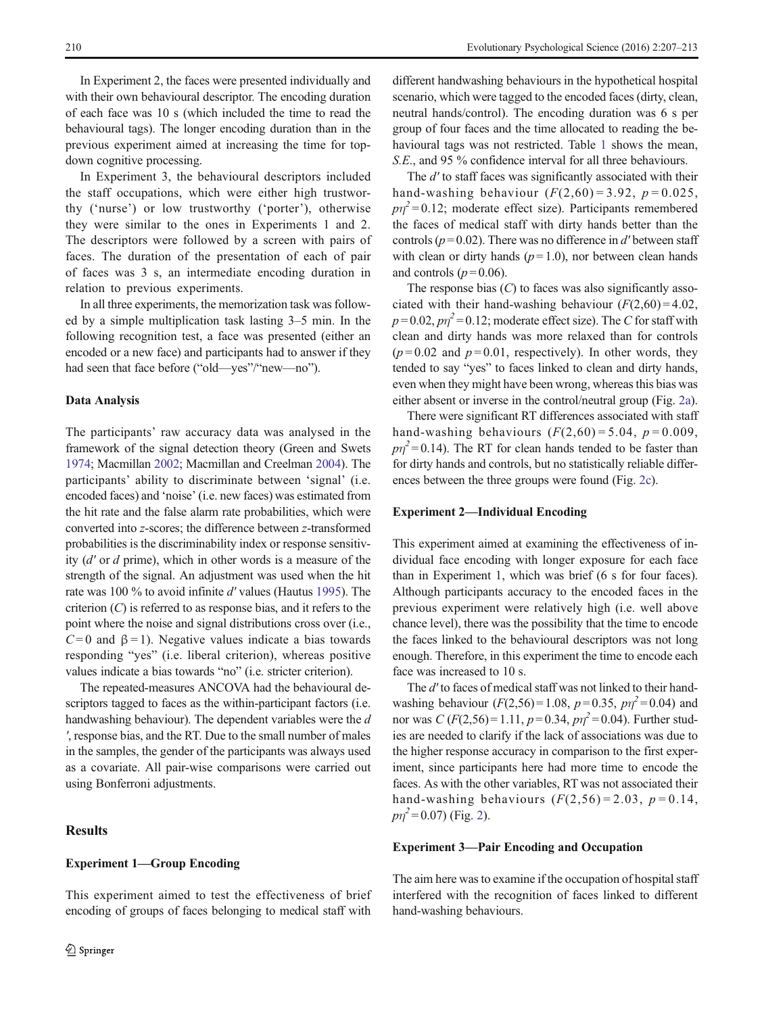In Experiment 2, the faces were presented individually and with their own behavioural descriptor. The encoding duration of each face was 10 s (which included the time to read the behavioural tags). The longer encoding duration than in the previous experiment aimed at increasing the time for topdown cognitive processing.

In Experiment 3, the behavioural descriptors included the staff occupations, which were either high trustworthy ('nurse') or low trustworthy ('porter'), otherwise they were similar to the ones in Experiments 1 and 2. The descriptors were followed by a screen with pairs of faces. The duration of the presentation of each of pair of faces was 3 s, an intermediate encoding duration in relation to previous experiments.

In all three experiments, the memorization task was followed by a simple multiplication task lasting 3–5 min. In the following recognition test, a face was presented (either an encoded or a new face) and participants had to answer if they had seen that face before ("old—yes"/"new—no").

#### Data Analysis

The participants' raw accuracy data was analysed in the framework of the signal detection theory (Green and Swets [1974;](#page-6-0) Macmillan [2002;](#page-6-0) Macmillan and Creelman [2004\)](#page-6-0). The participants' ability to discriminate between 'signal' (i.e. encoded faces) and 'noise' (i.e. new faces) was estimated from the hit rate and the false alarm rate probabilities, which were converted into z-scores; the difference between z-transformed probabilities is the discriminability index or response sensitivity (d′ or d prime), which in other words is a measure of the strength of the signal. An adjustment was used when the hit rate was 100 % to avoid infinite d′ values (Hautus [1995](#page-6-0)). The criterion  $(C)$  is referred to as response bias, and it refers to the point where the noise and signal distributions cross over (i.e.,  $C=0$  and  $\beta = 1$ ). Negative values indicate a bias towards responding "yes" (i.e. liberal criterion), whereas positive values indicate a bias towards "no" (i.e. stricter criterion).

The repeated-measures ANCOVA had the behavioural descriptors tagged to faces as the within-participant factors (i.e. handwashing behaviour). The dependent variables were the d ′, response bias, and the RT. Due to the small number of males in the samples, the gender of the participants was always used as a covariate. All pair-wise comparisons were carried out using Bonferroni adjustments.

## **Results**

### Experiment 1—Group Encoding

This experiment aimed to test the effectiveness of brief encoding of groups of faces belonging to medical staff with different handwashing behaviours in the hypothetical hospital scenario, which were tagged to the encoded faces (dirty, clean, neutral hands/control). The encoding duration was 6 s per group of four faces and the time allocated to reading the be-havioural tags was not restricted. Table [1](#page-4-0) shows the mean, S.E., and 95 % confidence interval for all three behaviours.

The d' to staff faces was significantly associated with their hand-washing behaviour  $(F(2,60) = 3.92, p = 0.025,$  $p\eta^2$ =0.12; moderate effect size). Participants remembered the faces of medical staff with dirty hands better than the controls ( $p = 0.02$ ). There was no difference in d' between staff with clean or dirty hands ( $p=1.0$ ), nor between clean hands and controls  $(p=0.06)$ .

The response bias  $(C)$  to faces was also significantly associated with their hand-washing behaviour  $(F(2,60) = 4.02$ ,  $p=0.02$ ,  $p\eta^2=0.12$ ; moderate effect size). The C for staff with clean and dirty hands was more relaxed than for controls  $(p=0.02$  and  $p=0.01$ , respectively). In other words, they tended to say "yes" to faces linked to clean and dirty hands, even when they might have been wrong, whereas this bias was either absent or inverse in the control/neutral group (Fig. [2a\)](#page-5-0).

There were significant RT differences associated with staff hand-washing behaviours  $(F(2,60) = 5.04, p = 0.009,$  $p\eta^2$ =0.14). The RT for clean hands tended to be faster than for dirty hands and controls, but no statistically reliable differences between the three groups were found (Fig. [2c\)](#page-5-0).

#### Experiment 2—Individual Encoding

This experiment aimed at examining the effectiveness of individual face encoding with longer exposure for each face than in Experiment 1, which was brief (6 s for four faces). Although participants accuracy to the encoded faces in the previous experiment were relatively high (i.e. well above chance level), there was the possibility that the time to encode the faces linked to the behavioural descriptors was not long enough. Therefore, in this experiment the time to encode each face was increased to 10 s.

The d' to faces of medical staff was not linked to their handwashing behaviour ( $F(2,56) = 1.08$ ,  $p=0.35$ ,  $p\eta^2 = 0.04$ ) and nor was  $C (F(2, 56) = 1.11, p = 0.34, p\eta^2 = 0.04)$ . Further studies are needed to clarify if the lack of associations was due to the higher response accuracy in comparison to the first experiment, since participants here had more time to encode the faces. As with the other variables, RT was not associated their hand-washing behaviours  $(F(2,56)=2.03, p=0.14,$  $p\eta^2$ =0.07) (Fig. [2\)](#page-5-0).

## Experiment 3—Pair Encoding and Occupation

The aim here was to examine if the occupation of hospital staff interfered with the recognition of faces linked to different hand-washing behaviours.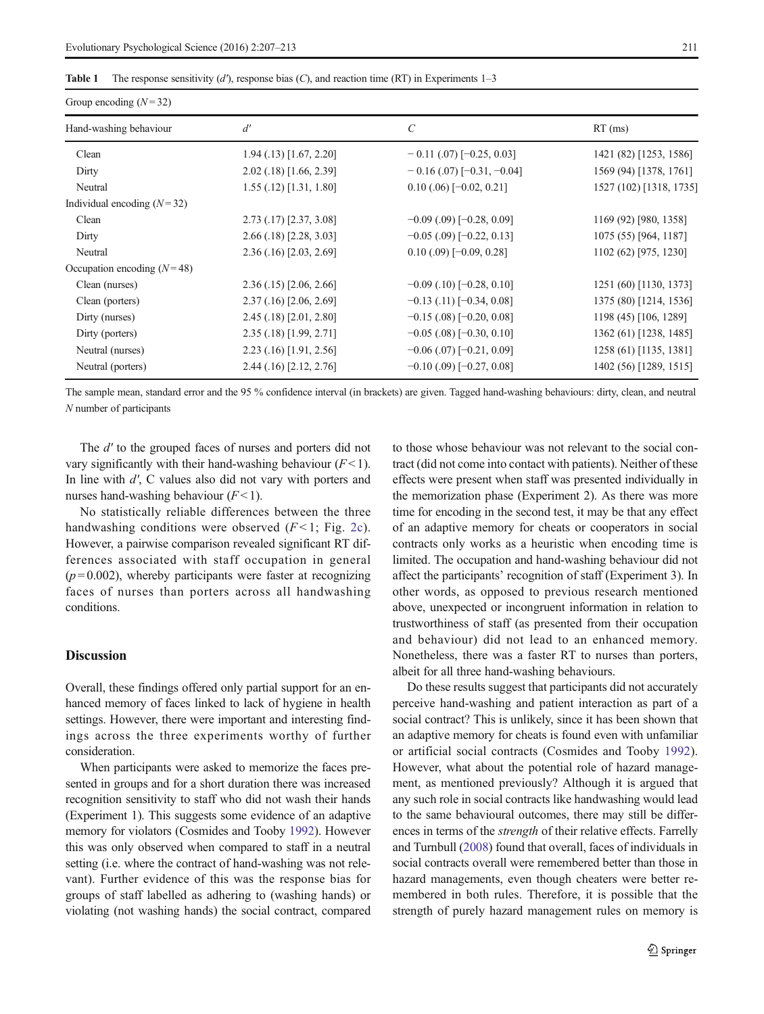<span id="page-4-0"></span>**Table 1** The response sensitivity  $(d')$ , response bias  $(C)$ , and reaction time  $(RT)$  in Experiments 1–3

| Group encoding $(N=32)$      |                           |                                 |                         |
|------------------------------|---------------------------|---------------------------------|-------------------------|
| Hand-washing behaviour       | d'                        | $\mathcal C$                    | $RT$ (ms)               |
| Clean                        | 1.94(0.13)[1.67, 2.20]    | $-0.11$ (.07) [ $-0.25, 0.03$ ] | 1421 (82) [1253, 1586]  |
| Dirty                        | 2.02 (.18) [1.66, 2.39]   | $-0.16(.07)$ [ $-0.31, -0.04$ ] | 1569 (94) [1378, 1761]  |
| Neutral                      | 1.55 (.12) [1.31, 1.80]   | $0.10$ (.06) [-0.02, 0.21]      | 1527 (102) [1318, 1735] |
| Individual encoding $(N=32)$ |                           |                                 |                         |
| Clean                        | 2.73 (.17) [2.37, 3.08]   | $-0.09$ (.09) [ $-0.28$ , 0.09] | 1169 (92) [980, 1358]   |
| Dirty                        | $2.66(.18)$ [2.28, 3.03]  | $-0.05$ (.09) [ $-0.22$ , 0.13] | 1075 (55) [964, 1187]   |
| Neutral                      | $2.36(.16)$ [2.03, 2.69]  | $0.10$ (.09) [-0.09, 0.28]      | 1102 (62) [975, 1230]   |
| Occupation encoding $(N=48)$ |                           |                                 |                         |
| Clean (nurses)               | 2.36 (.15) [2.06, 2.66]   | $-0.09$ (.10) [ $-0.28$ , 0.10] | 1251 (60) [1130, 1373]  |
| Clean (porters)              | $2.37(.16)$ [2.06, 2.69]  | $-0.13$ (.11) [ $-0.34$ , 0.08] | 1375 (80) [1214, 1536]  |
| Dirty (nurses)               | $2.45$ (.18) [2.01, 2.80] | $-0.15$ (.08) [ $-0.20$ , 0.08] | 1198 (45) [106, 1289]   |

The sample mean, standard error and the 95 % confidence interval (in brackets) are given. Tagged hand-washing behaviours: dirty, clean, and neutral N number of participants

Dirty (porters) 2.35 (.18) [1.99, 2.71] −0.05 (.08) [−0.30, 0.10] 1362 (61) [1238, 1485] Neutral (nurses) 2.23 (.16) [1.91, 2.56] −0.06 (.07) [−0.21, 0.09] 1258 (61) [1135, 1381] Neutral (porters) 2.44 (.16) [2.12, 2.76] −0.10 (.09) [−0.27, 0.08] 1402 (56) [1289, 1515]

The d' to the grouped faces of nurses and porters did not vary significantly with their hand-washing behaviour  $(F<1)$ . In line with  $d'$ , C values also did not vary with porters and nurses hand-washing behaviour  $(F<1)$ .

No statistically reliable differences between the three handwashing conditions were observed  $(F<1; Fig. 2c)$  $(F<1; Fig. 2c)$  $(F<1; Fig. 2c)$ . However, a pairwise comparison revealed significant RT differences associated with staff occupation in general  $(p=0.002)$ , whereby participants were faster at recognizing faces of nurses than porters across all handwashing conditions.

## **Discussion**

Overall, these findings offered only partial support for an enhanced memory of faces linked to lack of hygiene in health settings. However, there were important and interesting findings across the three experiments worthy of further consideration.

When participants were asked to memorize the faces presented in groups and for a short duration there was increased recognition sensitivity to staff who did not wash their hands (Experiment 1). This suggests some evidence of an adaptive memory for violators (Cosmides and Tooby [1992](#page-6-0)). However this was only observed when compared to staff in a neutral setting (i.e. where the contract of hand-washing was not relevant). Further evidence of this was the response bias for groups of staff labelled as adhering to (washing hands) or violating (not washing hands) the social contract, compared to those whose behaviour was not relevant to the social contract (did not come into contact with patients). Neither of these effects were present when staff was presented individually in the memorization phase (Experiment 2). As there was more time for encoding in the second test, it may be that any effect of an adaptive memory for cheats or cooperators in social contracts only works as a heuristic when encoding time is limited. The occupation and hand-washing behaviour did not affect the participants' recognition of staff (Experiment 3). In other words, as opposed to previous research mentioned above, unexpected or incongruent information in relation to trustworthiness of staff (as presented from their occupation and behaviour) did not lead to an enhanced memory. Nonetheless, there was a faster RT to nurses than porters, albeit for all three hand-washing behaviours.

Do these results suggest that participants did not accurately perceive hand-washing and patient interaction as part of a social contract? This is unlikely, since it has been shown that an adaptive memory for cheats is found even with unfamiliar or artificial social contracts (Cosmides and Tooby [1992](#page-6-0)). However, what about the potential role of hazard management, as mentioned previously? Although it is argued that any such role in social contracts like handwashing would lead to the same behavioural outcomes, there may still be differences in terms of the strength of their relative effects. Farrelly and Turnbull [\(2008\)](#page-6-0) found that overall, faces of individuals in social contracts overall were remembered better than those in hazard managements, even though cheaters were better remembered in both rules. Therefore, it is possible that the strength of purely hazard management rules on memory is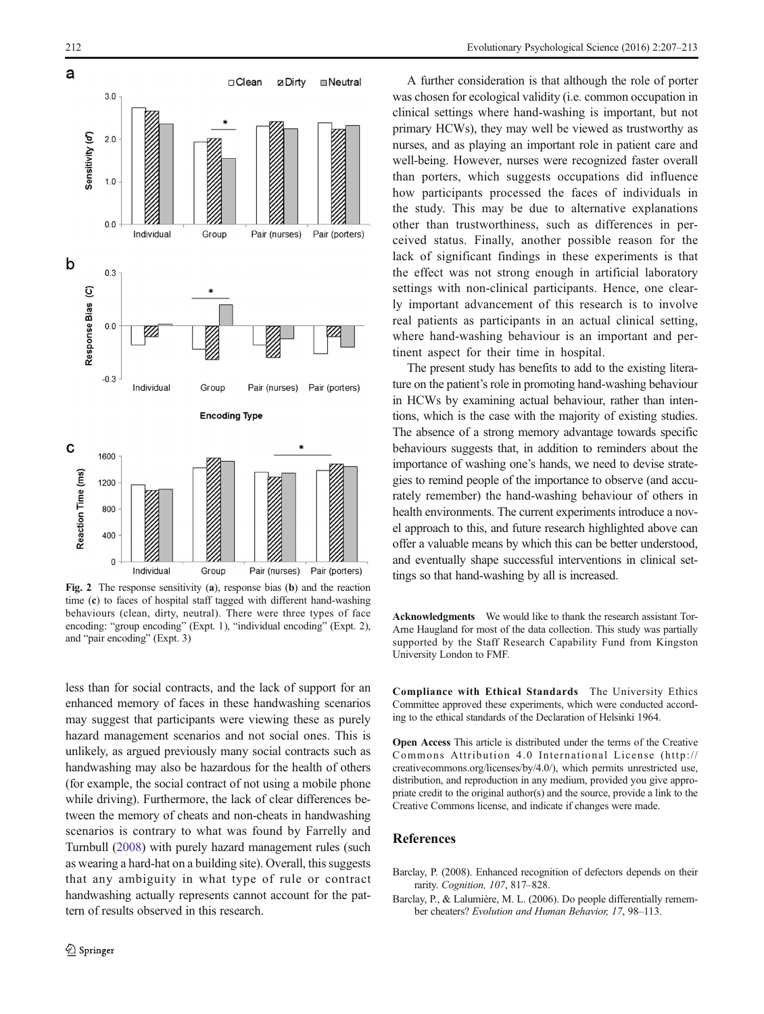<span id="page-5-0"></span>

Fig. 2 The response sensitivity (a), response bias (b) and the reaction time (c) to faces of hospital staff tagged with different hand-washing behaviours (clean, dirty, neutral). There were three types of face encoding: "group encoding" (Expt. 1), "individual encoding" (Expt. 2), and "pair encoding" (Expt. 3)

less than for social contracts, and the lack of support for an enhanced memory of faces in these handwashing scenarios may suggest that participants were viewing these as purely hazard management scenarios and not social ones. This is unlikely, as argued previously many social contracts such as handwashing may also be hazardous for the health of others (for example, the social contract of not using a mobile phone while driving). Furthermore, the lack of clear differences between the memory of cheats and non-cheats in handwashing scenarios is contrary to what was found by Farrelly and Turnbull ([2008](#page-6-0)) with purely hazard management rules (such as wearing a hard-hat on a building site). Overall, this suggests that any ambiguity in what type of rule or contract handwashing actually represents cannot account for the pattern of results observed in this research.

A further consideration is that although the role of porter was chosen for ecological validity (i.e. common occupation in clinical settings where hand-washing is important, but not primary HCWs), they may well be viewed as trustworthy as nurses, and as playing an important role in patient care and well-being. However, nurses were recognized faster overall than porters, which suggests occupations did influence how participants processed the faces of individuals in the study. This may be due to alternative explanations other than trustworthiness, such as differences in perceived status. Finally, another possible reason for the lack of significant findings in these experiments is that the effect was not strong enough in artificial laboratory settings with non-clinical participants. Hence, one clearly important advancement of this research is to involve real patients as participants in an actual clinical setting, where hand-washing behaviour is an important and pertinent aspect for their time in hospital.

The present study has benefits to add to the existing literature on the patient's role in promoting hand-washing behaviour in HCWs by examining actual behaviour, rather than intentions, which is the case with the majority of existing studies. The absence of a strong memory advantage towards specific behaviours suggests that, in addition to reminders about the importance of washing one's hands, we need to devise strategies to remind people of the importance to observe (and accurately remember) the hand-washing behaviour of others in health environments. The current experiments introduce a novel approach to this, and future research highlighted above can offer a valuable means by which this can be better understood, and eventually shape successful interventions in clinical settings so that hand-washing by all is increased.

Acknowledgments We would like to thank the research assistant Tor-Arne Haugland for most of the data collection. This study was partially supported by the Staff Research Capability Fund from Kingston University London to FMF.

Compliance with Ethical Standards The University Ethics Committee approved these experiments, which were conducted according to the ethical standards of the Declaration of Helsinki 1964.

Open Access This article is distributed under the terms of the Creative Commons Attribution 4.0 International License (http:// creativecommons.org/licenses/by/4.0/), which permits unrestricted use, distribution, and reproduction in any medium, provided you give appropriate credit to the original author(s) and the source, provide a link to the Creative Commons license, and indicate if changes were made.

# References

- Barclay, P. (2008). Enhanced recognition of defectors depends on their rarity. Cognition, 107, 817–828.
- Barclay, P., & Lalumière, M. L. (2006). Do people differentially remember cheaters? Evolution and Human Behavior, 17, 98–113.